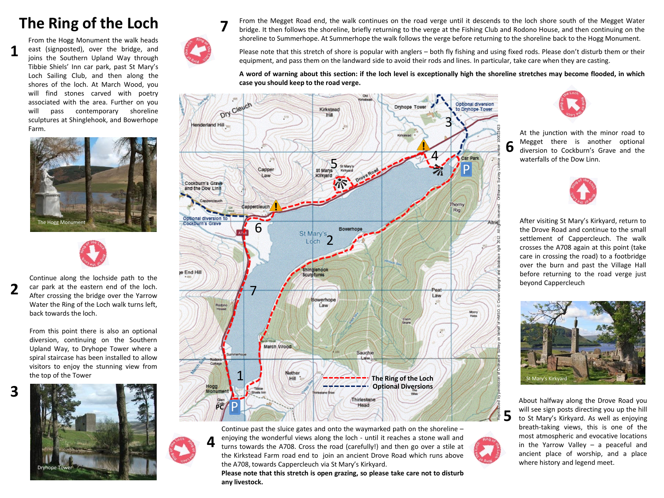## **The Ring of the Loch**

**1**

From the Hogg Monument the walk heads east (signposted), over the bridge, and joins the Southern Upland Way through Tibbie Shiels' Inn car park, past St Mary's Loch Sailing Club, and then along the shores of the loch. At March Wood, you will find stones carved with poetry associated with the area. Further on you will pass contemporary shoreline sculptures at Shinglehook, and Bowerhope Farm.





Continue along the lochside path to the car park at the eastern end of the loch. After crossing the bridge over the Yarrow Water the Ring of the Loch walk turns left, back towards the loch. **2**

> From this point there is also an optional diversion, continuing on the Southern Upland Way, to Dryhope Tower where a spiral staircase has been installed to allow visitors to enjoy the stunning view from the top of the Tower





**7**

**4**

From the Megget Road end, the walk continues on the road verge until it descends to the loch shore south of the Megget Water bridge. It then follows the shoreline, briefly returning to the verge at the Fishing Club and Rodono House, and then continuing on the shoreline to Summerhope. At Summerhope the walk follows the verge before returning to the shoreline back to the Hogg Monument.

Please note that this stretch of shore is popular with anglers – both fly fishing and using fixed rods. Please don't disturb them or their equipment, and pass them on the landward side to avoid their rods and lines. In particular, take care when they are casting.

A word of warning about this section: if the loch level is exceptionally high the shoreline stretches may become flooded, in which **case you should keep to the road verge.**





**Please note that this stretch is open grazing, so please take care not to disturb any livestock.**



At the junction with the minor road to Megget there is another optional diversion to Cockburn's Grave and the waterfalls of the Dow Linn.



After visiting St Mary's Kirkyard, return to the Drove Road and continue to the small settlement of Cappercleuch. The walk crosses the A708 again at this point (take care in crossing the road) to a footbridge over the burn and past the Village Hall before returning to the road verge just beyond Cappercleuch



About halfway along the Drove Road you will see sign posts directing you up the hill to St Mary's Kirkyard. As well as enjoying breath-taking views, this is one of the most atmospheric and evocative locations in the Yarrow Valley – a peaceful and ancient place of worship, and a place where history and legend meet.

**5**

**6**